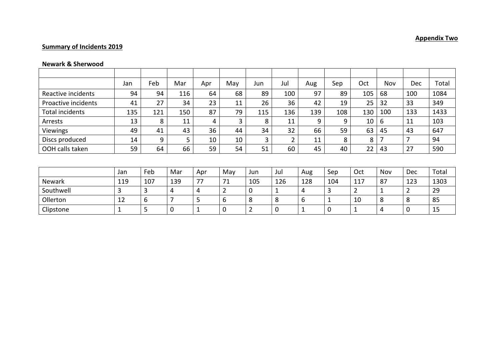## **Summary of Incidents 2019**

## **Newark & Sherwood**

|                     | Jan | Feb | Mar | Apr | May            | Jun            | Jul            | Aug          | Sep | Oct            | Nov | <b>Dec</b> | Total |
|---------------------|-----|-----|-----|-----|----------------|----------------|----------------|--------------|-----|----------------|-----|------------|-------|
| Reactive incidents  | 94  | 94  | 116 | 64  | 68             | 89             | 100            | 97           | 89  | 105            | 68  | 100        | 1084  |
| Proactive incidents | 41  | 27  | 34  | 23  | 11             | 26             | 36             | 42           | 19  | 25             | 32  | 33         | 349   |
| Total incidents     | 135 | 121 | 150 | 87  | 79             | 115            | 136            | 139          | 108 | 130            | 100 | 133        | 1433  |
| Arrests             | 13  | 8   | 11  | 4   | $\overline{3}$ | 8              | 11             | 9            | 9   | 10             | 6   | 11         | 103   |
| <b>Viewings</b>     | 49  | 41  | 43  | 36  | 44             | 34             | 32             | 66           | 59  | 63             | 45  | 43         | 647   |
| Discs produced      | 14  | 9   | 5   | 10  | 10             | 3              | 2              | 11           | 8   | 8              | 7   | 7          | 94    |
| OOH calls taken     | 59  | 64  | 66  | 59  | 54             | 51             | 60             | 45           | 40  | 22             | 43  | 27         | 590   |
|                     |     |     |     |     |                |                |                |              |     |                |     |            |       |
|                     | Jan | Feb | Mar | Apr | May            | Jun            | Jul            | Aug          | Sep | Oct            | Nov | <b>Dec</b> | Total |
| <b>Newark</b>       | 119 | 107 | 139 | 77  | 71             | 105            | 126            | 128          | 104 | 117            | 87  | 123        | 1303  |
| Southwell           | 3   | 3   | 4   | 4   | $\overline{2}$ | 0              | $\mathbf 1$    | 4            | 3   | $\overline{2}$ | 1   | 2          | 29    |
| Ollerton            | 12  | 6   | 7   | 5   | 6              | 8              | 8              | 6            |     | 10             | 8   | 8          | 85    |
| Clipstone           | 1   | 5   | 0   |     | $\overline{0}$ | $\overline{2}$ | $\overline{0}$ | $\mathbf{1}$ | 0   |                | 4   | 0          | 15    |

## **Appendix Two**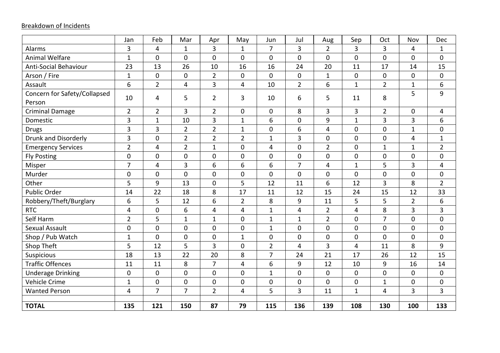## Breakdown of Incidents

|                              | Jan              | Feb            | Mar            | Apr            | May            | Jun            | Jul            | Aug            | Sep            | Oct            | Nov            | Dec              |
|------------------------------|------------------|----------------|----------------|----------------|----------------|----------------|----------------|----------------|----------------|----------------|----------------|------------------|
| Alarms                       | 3                | 4              | $\mathbf{1}$   | $\overline{3}$ | $\mathbf{1}$   | $\overline{7}$ | 3              | $\overline{2}$ | 3              | 3              | 4              | $\mathbf{1}$     |
| <b>Animal Welfare</b>        | $\mathbf{1}$     | $\mathbf 0$    | $\mathbf 0$    | $\overline{0}$ | $\mathbf 0$    | $\mathbf 0$    | $\mathbf 0$    | $\mathbf 0$    | $\mathbf 0$    | $\mathbf 0$    | $\mathbf 0$    | $\mathbf 0$      |
| <b>Anti-Social Behaviour</b> | 23               | 13             | 26             | 10             | 16             | 16             | 24             | 20             | 11             | 17             | 14             | 15               |
| Arson / Fire                 | $\mathbf{1}$     | $\mathbf 0$    | $\mathbf 0$    | $\overline{2}$ | $\mathbf 0$    | $\mathbf{0}$   | $\mathbf 0$    | $\mathbf{1}$   | $\mathbf 0$    | $\mathbf 0$    | $\mathbf 0$    | 0                |
| Assault                      | 6                | $\overline{2}$ | $\overline{4}$ | $\overline{3}$ | 4              | 10             | $\overline{2}$ | 6              | $\mathbf{1}$   | $\overline{2}$ | $\mathbf{1}$   | 6                |
| Concern for Safety/Collapsed | 10               | 4              | 5              | $\overline{2}$ | 3              | 10             | 6              | 5              | 11             | 8              | 5              | 9                |
| Person                       |                  |                |                |                |                |                |                |                |                |                |                |                  |
| <b>Criminal Damage</b>       | $\overline{2}$   | $\overline{2}$ | 3              | $\overline{2}$ | $\pmb{0}$      | 0              | 8              | $\overline{3}$ | 3              | $\overline{2}$ | $\pmb{0}$      | 4                |
| Domestic                     | 3                | $\mathbf{1}$   | 10             | 3              | $\mathbf{1}$   | 6              | $\mathbf 0$    | 9              | $\mathbf{1}$   | 3              | $\overline{3}$ | 6                |
| <b>Drugs</b>                 | 3                | 3              | $\overline{2}$ | $\overline{2}$ | $\mathbf{1}$   | 0              | 6              | $\overline{4}$ | $\mathbf 0$    | $\mathbf 0$    | $\mathbf{1}$   | $\boldsymbol{0}$ |
| <b>Drunk and Disorderly</b>  | 3                | $\mathbf 0$    | $\overline{2}$ | $\overline{2}$ | $\overline{2}$ | $\mathbf{1}$   | 3              | $\mathbf 0$    | $\mathbf 0$    | $\mathbf 0$    | 4              | $\mathbf{1}$     |
| <b>Emergency Services</b>    | $\overline{2}$   | 4              | $\overline{2}$ | $\mathbf{1}$   | $\mathbf 0$    | 4              | $\mathbf 0$    | $\overline{2}$ | $\overline{0}$ | $\mathbf{1}$   | $\mathbf{1}$   | $\overline{2}$   |
| <b>Fly Posting</b>           | $\mathbf 0$      | $\overline{0}$ | $\mathbf 0$    | $\overline{0}$ | $\overline{0}$ | $\overline{0}$ | $\overline{0}$ | $\overline{0}$ | $\overline{0}$ | $\mathbf 0$    | $\mathbf 0$    | $\mathbf 0$      |
| Misper                       | $\overline{7}$   | 4              | $\overline{3}$ | 6              | 6              | 6              | $\overline{7}$ | 4              | $\mathbf{1}$   | 5              | 3              | 4                |
| Murder                       | $\boldsymbol{0}$ | $\mathbf 0$    | $\mathbf 0$    | $\overline{0}$ | $\mathbf 0$    | 0              | $\mathbf 0$    | $\mathbf 0$    | $\mathbf 0$    | $\pmb{0}$      | $\mathbf 0$    | $\boldsymbol{0}$ |
| Other                        | 5                | 9              | 13             | 0              | 5              | 12             | 11             | 6              | 12             | 3              | 8              | $\overline{2}$   |
| <b>Public Order</b>          | 14               | 22             | 18             | 8              | 17             | 11             | 12             | 15             | 24             | 15             | 12             | 33               |
| Robbery/Theft/Burglary       | 6                | 5              | 12             | 6              | $\overline{2}$ | 8              | 9              | 11             | 5              | 5              | $\overline{2}$ | 6                |
| <b>RTC</b>                   | 4                | $\mathbf 0$    | 6              | $\overline{4}$ | $\overline{4}$ | $\mathbf{1}$   | $\overline{4}$ | $\overline{2}$ | $\overline{4}$ | 8              | $\overline{3}$ | $\overline{3}$   |
| Self Harm                    | $\overline{2}$   | 5              | $\mathbf{1}$   | $\mathbf{1}$   | $\mathbf 0$    | $\mathbf{1}$   | $\mathbf{1}$   | $\overline{2}$ | $\mathbf 0$    | $\overline{7}$ | $\mathbf 0$    | $\mathbf 0$      |
| <b>Sexual Assault</b>        | 0                | $\mathbf 0$    | $\mathbf 0$    | $\overline{0}$ | $\mathbf 0$    | $\mathbf{1}$   | $\mathbf 0$    | $\mathbf 0$    | $\mathbf 0$    | $\mathbf 0$    | $\mathbf 0$    | $\mathbf 0$      |
| Shop / Pub Watch             | $\mathbf 1$      | $\mathbf 0$    | $\pmb{0}$      | 0              | $\mathbf{1}$   | $\mathbf 0$    | $\mathbf 0$    | $\mathbf 0$    | $\mathbf 0$    | $\mathbf 0$    | $\mathbf 0$    | 0                |
| Shop Theft                   | 5                | 12             | 5              | $\overline{3}$ | $\overline{0}$ | $\overline{2}$ | $\overline{4}$ | 3              | $\overline{4}$ | 11             | 8              | 9                |
| Suspicious                   | 18               | 13             | 22             | 20             | 8              | $\overline{7}$ | 24             | 21             | 17             | 26             | 12             | 15               |
| <b>Traffic Offences</b>      | 11               | 11             | 8              | $\overline{7}$ | 4              | 6              | 9              | 12             | 10             | 9              | 16             | 14               |
| <b>Underage Drinking</b>     | $\pmb{0}$        | $\mathbf 0$    | $\mathbf 0$    | 0              | $\mathbf 0$    | $\mathbf{1}$   | $\mathbf 0$    | $\mathbf 0$    | $\mathbf 0$    | $\mathbf 0$    | $\mathbf 0$    | $\boldsymbol{0}$ |
| Vehicle Crime                | $\mathbf{1}$     | $\mathbf 0$    | $\mathbf 0$    | $\overline{0}$ | $\overline{0}$ | $\mathbf{0}$   | $\overline{0}$ | $\overline{0}$ | $\overline{0}$ | $\mathbf{1}$   | $\mathbf 0$    | $\mathbf 0$      |
| <b>Wanted Person</b>         | 4                | $\overline{7}$ | $\overline{7}$ | $\overline{2}$ | 4              | 5              | $\overline{3}$ | 11             | $\mathbf{1}$   | 4              | $\overline{3}$ | $\overline{3}$   |
| <b>TOTAL</b>                 | 135              | 121            | 150            | 87             | 79             | 115            | 136            | 139            | 108            | 130            | 100            | 133              |